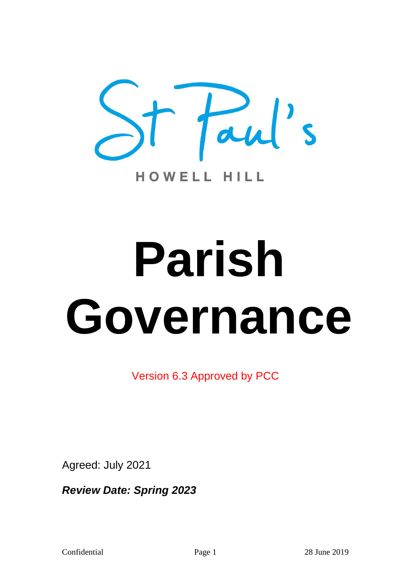

# **Parish Governance**

Version 6.3 Approved by PCC

Agreed: July 2021

*Review Date: Spring 2023*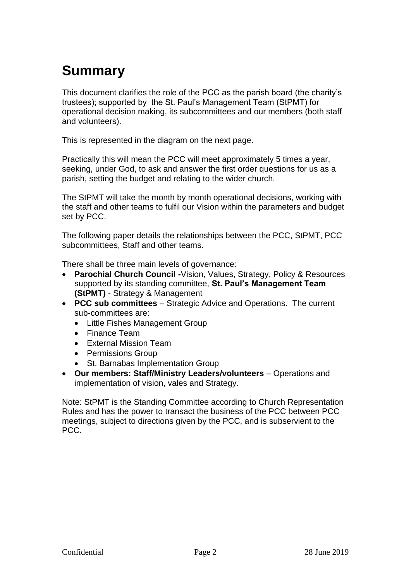# **Summary**

This document clarifies the role of the PCC as the parish board (the charity's trustees); supported by the St. Paul's Management Team (StPMT) for operational decision making, its subcommittees and our members (both staff and volunteers).

This is represented in the diagram on the next page.

Practically this will mean the PCC will meet approximately 5 times a year, seeking, under God, to ask and answer the first order questions for us as a parish, setting the budget and relating to the wider church.

The StPMT will take the month by month operational decisions, working with the staff and other teams to fulfil our Vision within the parameters and budget set by PCC.

The following paper details the relationships between the PCC, StPMT, PCC subcommittees, Staff and other teams.

There shall be three main levels of governance:

- **Parochial Church Council -**Vision, Values, Strategy, Policy & Resources supported by its standing committee, **St. Paul's Management Team (StPMT)** - Strategy & Management
- **PCC sub committees**  Strategic Advice and Operations. The current sub-committees are:
	- Little Fishes Management Group
	- Finance Team
	- External Mission Team
	- Permissions Group
	- St. Barnabas Implementation Group
- **Our members: Staff/Ministry Leaders/volunteers**  Operations and implementation of vision, vales and Strategy.

Note: StPMT is the Standing Committee according to Church Representation Rules and has the power to transact the business of the PCC between PCC meetings, subject to directions given by the PCC, and is subservient to the PCC.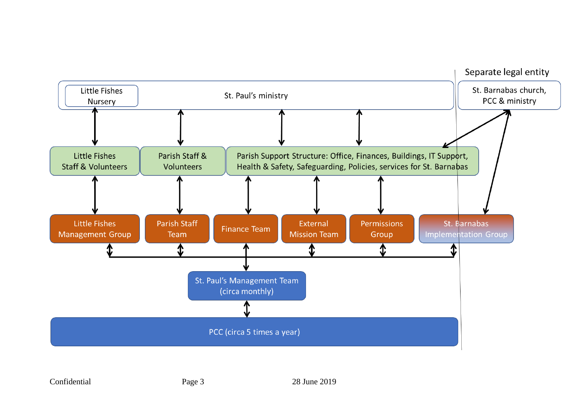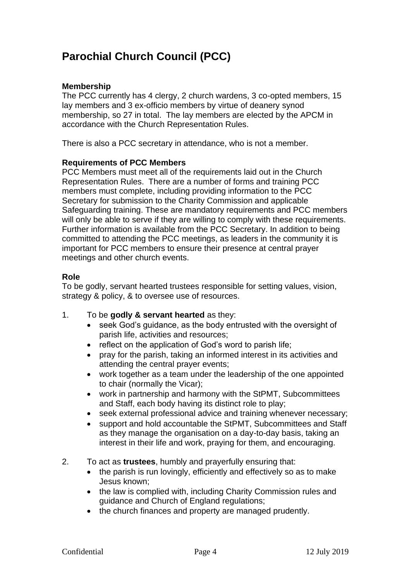# **Parochial Church Council (PCC)**

# **Membership**

The PCC currently has 4 clergy, 2 church wardens, 3 co-opted members, 15 lay members and 3 ex-officio members by virtue of deanery synod membership, so 27 in total. The lay members are elected by the APCM in accordance with the Church Representation Rules.

There is also a PCC secretary in attendance, who is not a member.

# **Requirements of PCC Members**

PCC Members must meet all of the requirements laid out in the Church Representation Rules. There are a number of forms and training PCC members must complete, including providing information to the PCC Secretary for submission to the Charity Commission and applicable Safeguarding training. These are mandatory requirements and PCC members will only be able to serve if they are willing to comply with these requirements. Further information is available from the PCC Secretary. In addition to being committed to attending the PCC meetings, as leaders in the community it is important for PCC members to ensure their presence at central prayer meetings and other church events.

# **Role**

To be godly, servant hearted trustees responsible for setting values, vision, strategy & policy, & to oversee use of resources.

- 1. To be **godly & servant hearted** as they:
	- seek God's quidance, as the body entrusted with the oversight of parish life, activities and resources;
	- reflect on the application of God's word to parish life;
	- pray for the parish, taking an informed interest in its activities and attending the central prayer events;
	- work together as a team under the leadership of the one appointed to chair (normally the Vicar);
	- work in partnership and harmony with the StPMT, Subcommittees and Staff, each body having its distinct role to play;
	- seek external professional advice and training whenever necessary;
	- support and hold accountable the StPMT, Subcommittees and Staff as they manage the organisation on a day-to-day basis, taking an interest in their life and work, praying for them, and encouraging.
- 2. To act as **trustees**, humbly and prayerfully ensuring that:
	- the parish is run lovingly, efficiently and effectively so as to make Jesus known;
	- the law is complied with, including Charity Commission rules and guidance and Church of England regulations;
	- the church finances and property are managed prudently.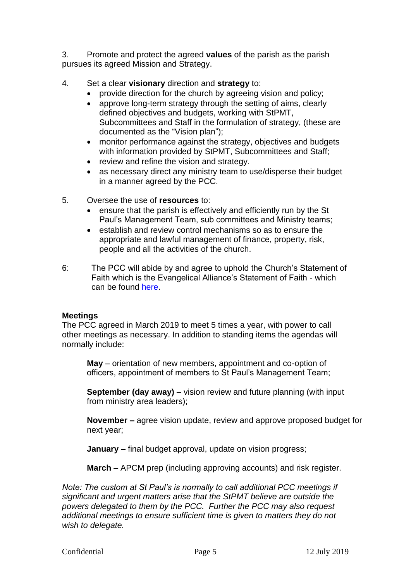3. Promote and protect the agreed **values** of the parish as the parish pursues its agreed Mission and Strategy.

- 4. Set a clear **visionary** direction and **strategy** to:
	- provide direction for the church by agreeing vision and policy;
	- approve long-term strategy through the setting of aims, clearly defined objectives and budgets, working with StPMT, Subcommittees and Staff in the formulation of strategy, (these are documented as the "Vision plan");
	- monitor performance against the strategy, objectives and budgets with information provided by StPMT, Subcommittees and Staff;
	- review and refine the vision and strategy.
	- as necessary direct any ministry team to use/disperse their budget in a manner agreed by the PCC.
- 5. Oversee the use of **resources** to:
	- ensure that the parish is effectively and efficiently run by the St Paul's Management Team, sub committees and Ministry teams;
	- establish and review control mechanisms so as to ensure the appropriate and lawful management of finance, property, risk, people and all the activities of the church.
- 6: The PCC will abide by and agree to uphold the Church's Statement of Faith which is the Evangelical Alliance's Statement of Faith - which can be found [here.](https://www.eauk.org/about-us/how-we-work/basis-of-faith)

# **Meetings**

The PCC agreed in March 2019 to meet 5 times a year, with power to call other meetings as necessary. In addition to standing items the agendas will normally include:

**May** – orientation of new members, appointment and co-option of officers, appointment of members to St Paul's Management Team;

**September (day away) –** vision review and future planning (with input from ministry area leaders);

**November –** agree vision update, review and approve proposed budget for next year;

**January –** final budget approval, update on vision progress;

**March** – APCM prep (including approving accounts) and risk register.

*Note: The custom at St Paul's is normally to call additional PCC meetings if significant and urgent matters arise that the StPMT believe are outside the powers delegated to them by the PCC. Further the PCC may also request additional meetings to ensure sufficient time is given to matters they do not wish to delegate.*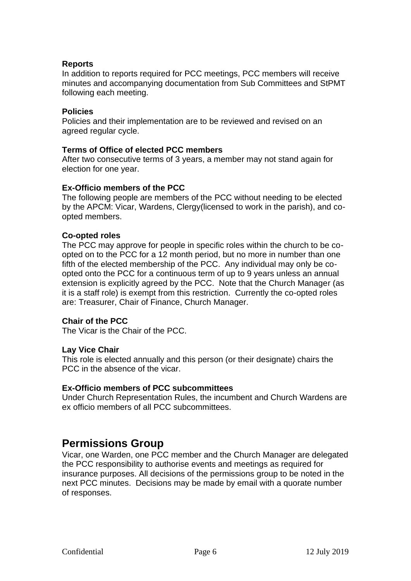# **Reports**

In addition to reports required for PCC meetings, PCC members will receive minutes and accompanying documentation from Sub Committees and StPMT following each meeting.

## **Policies**

Policies and their implementation are to be reviewed and revised on an agreed regular cycle.

# **Terms of Office of elected PCC members**

After two consecutive terms of 3 years, a member may not stand again for election for one year.

# **Ex-Officio members of the PCC**

The following people are members of the PCC without needing to be elected by the APCM: Vicar, Wardens, Clergy(licensed to work in the parish), and coopted members.

# **Co-opted roles**

The PCC may approve for people in specific roles within the church to be coopted on to the PCC for a 12 month period, but no more in number than one fifth of the elected membership of the PCC. Any individual may only be coopted onto the PCC for a continuous term of up to 9 years unless an annual extension is explicitly agreed by the PCC. Note that the Church Manager (as it is a staff role) is exempt from this restriction. Currently the co-opted roles are: Treasurer, Chair of Finance, Church Manager.

### **Chair of the PCC**

The Vicar is the Chair of the PCC.

### **Lay Vice Chair**

This role is elected annually and this person (or their designate) chairs the PCC in the absence of the vicar.

### **Ex-Officio members of PCC subcommittees**

Under Church Representation Rules, the incumbent and Church Wardens are ex officio members of all PCC subcommittees.

# **Permissions Group**

Vicar, one Warden, one PCC member and the Church Manager are delegated the PCC responsibility to authorise events and meetings as required for insurance purposes. All decisions of the permissions group to be noted in the next PCC minutes. Decisions may be made by email with a quorate number of responses.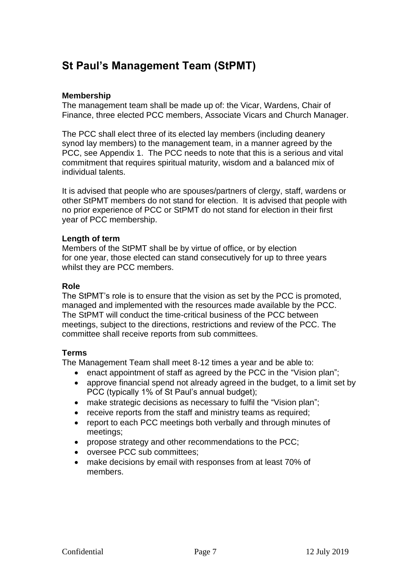# **St Paul's Management Team (StPMT)**

# **Membership**

The management team shall be made up of: the Vicar, Wardens, Chair of Finance, three elected PCC members, Associate Vicars and Church Manager.

The PCC shall elect three of its elected lay members (including deanery synod lay members) to the management team, in a manner agreed by the PCC, see Appendix 1. The PCC needs to note that this is a serious and vital commitment that requires spiritual maturity, wisdom and a balanced mix of individual talents.

It is advised that people who are spouses/partners of clergy, staff, wardens or other StPMT members do not stand for election. It is advised that people with no prior experience of PCC or StPMT do not stand for election in their first year of PCC membership.

# **Length of term**

Members of the StPMT shall be by virtue of office, or by election for one year, those elected can stand consecutively for up to three years whilst they are PCC members.

# **Role**

The StPMT's role is to ensure that the vision as set by the PCC is promoted, managed and implemented with the resources made available by the PCC. The StPMT will conduct the time-critical business of the PCC between meetings, subject to the directions, restrictions and review of the PCC. The committee shall receive reports from sub committees.

# **Terms**

The Management Team shall meet 8-12 times a year and be able to:

- enact appointment of staff as agreed by the PCC in the "Vision plan";
- approve financial spend not already agreed in the budget, to a limit set by PCC (typically 1% of St Paul's annual budget);
- make strategic decisions as necessary to fulfil the "Vision plan";
- receive reports from the staff and ministry teams as required;
- report to each PCC meetings both verbally and through minutes of meetings;
- propose strategy and other recommendations to the PCC;
- oversee PCC sub committees;
- make decisions by email with responses from at least 70% of members.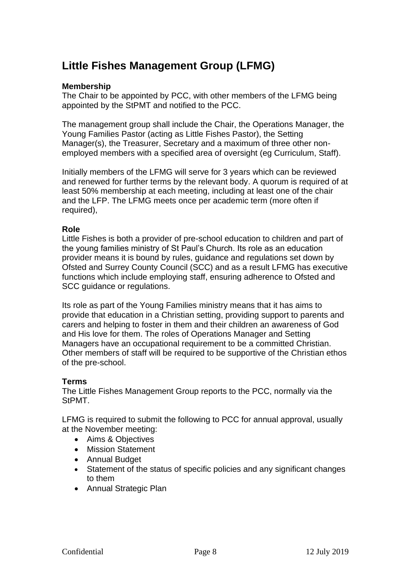# **Little Fishes Management Group (LFMG)**

# **Membership**

The Chair to be appointed by PCC, with other members of the LFMG being appointed by the StPMT and notified to the PCC.

The management group shall include the Chair, the Operations Manager, the Young Families Pastor (acting as Little Fishes Pastor), the Setting Manager(s), the Treasurer, Secretary and a maximum of three other nonemployed members with a specified area of oversight (eg Curriculum, Staff).

Initially members of the LFMG will serve for 3 years which can be reviewed and renewed for further terms by the relevant body. A quorum is required of at least 50% membership at each meeting, including at least one of the chair and the LFP. The LFMG meets once per academic term (more often if required),

# **Role**

Little Fishes is both a provider of pre-school education to children and part of the young families ministry of St Paul's Church. Its role as an education provider means it is bound by rules, guidance and regulations set down by Ofsted and Surrey County Council (SCC) and as a result LFMG has executive functions which include employing staff, ensuring adherence to Ofsted and SCC guidance or regulations.

Its role as part of the Young Families ministry means that it has aims to provide that education in a Christian setting, providing support to parents and carers and helping to foster in them and their children an awareness of God and His love for them. The roles of Operations Manager and Setting Managers have an occupational requirement to be a committed Christian. Other members of staff will be required to be supportive of the Christian ethos of the pre-school.

# **Terms**

The Little Fishes Management Group reports to the PCC, normally via the StPMT.

LFMG is required to submit the following to PCC for annual approval, usually at the November meeting:

- Aims & Objectives
- Mission Statement
- Annual Budget
- Statement of the status of specific policies and any significant changes to them
- Annual Strategic Plan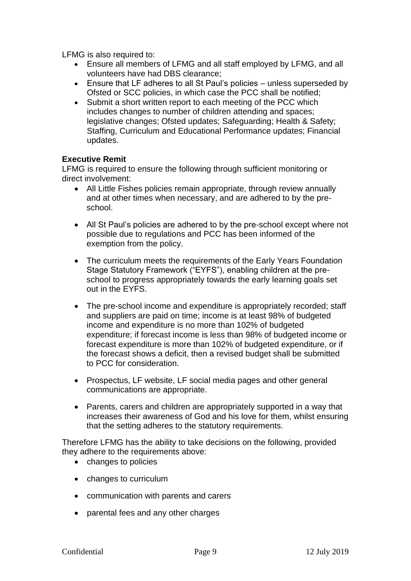LFMG is also required to:

- Ensure all members of LFMG and all staff employed by LFMG, and all volunteers have had DBS clearance;
- Ensure that LF adheres to all St Paul's policies unless superseded by Ofsted or SCC policies, in which case the PCC shall be notified;
- Submit a short written report to each meeting of the PCC which includes changes to number of children attending and spaces; legislative changes; Ofsted updates; Safeguarding; Health & Safety; Staffing, Curriculum and Educational Performance updates; Financial updates.

# **Executive Remit**

LFMG is required to ensure the following through sufficient monitoring or direct involvement:

- All Little Fishes policies remain appropriate, through review annually and at other times when necessary, and are adhered to by the preschool.
- All St Paul's policies are adhered to by the pre-school except where not possible due to regulations and PCC has been informed of the exemption from the policy.
- The curriculum meets the requirements of the Early Years Foundation Stage Statutory Framework ("EYFS"), enabling children at the preschool to progress appropriately towards the early learning goals set out in the EYFS.
- The pre-school income and expenditure is appropriately recorded; staff and suppliers are paid on time; income is at least 98% of budgeted income and expenditure is no more than 102% of budgeted expenditure; if forecast income is less than 98% of budgeted income or forecast expenditure is more than 102% of budgeted expenditure, or if the forecast shows a deficit, then a revised budget shall be submitted to PCC for consideration.
- Prospectus, LF website, LF social media pages and other general communications are appropriate.
- Parents, carers and children are appropriately supported in a way that increases their awareness of God and his love for them, whilst ensuring that the setting adheres to the statutory requirements.

Therefore LFMG has the ability to take decisions on the following, provided they adhere to the requirements above:

- changes to policies
- changes to curriculum
- communication with parents and carers
- parental fees and any other charges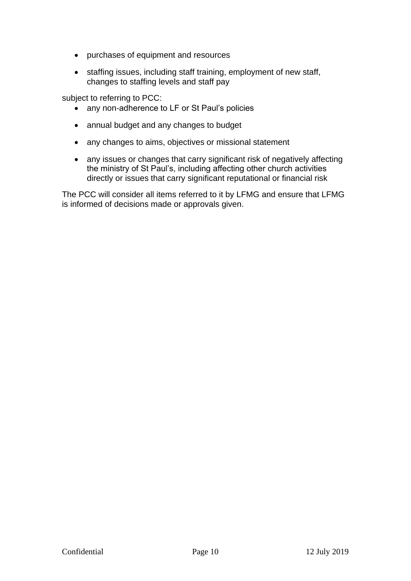- purchases of equipment and resources
- staffing issues, including staff training, employment of new staff, changes to staffing levels and staff pay

subject to referring to PCC:

- any non-adherence to LF or St Paul's policies
- annual budget and any changes to budget
- any changes to aims, objectives or missional statement
- any issues or changes that carry significant risk of negatively affecting the ministry of St Paul's, including affecting other church activities directly or issues that carry significant reputational or financial risk

The PCC will consider all items referred to it by LFMG and ensure that LFMG is informed of decisions made or approvals given.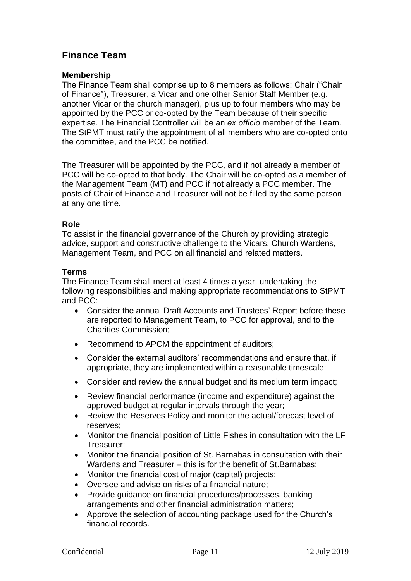# **Finance Team**

# **Membership**

The Finance Team shall comprise up to 8 members as follows: Chair ("Chair of Finance"), Treasurer, a Vicar and one other Senior Staff Member (e.g. another Vicar or the church manager), plus up to four members who may be appointed by the PCC or co-opted by the Team because of their specific expertise. The Financial Controller will be an *ex officio* member of the Team. The StPMT must ratify the appointment of all members who are co-opted onto the committee, and the PCC be notified.

The Treasurer will be appointed by the PCC, and if not already a member of PCC will be co-opted to that body. The Chair will be co-opted as a member of the Management Team (MT) and PCC if not already a PCC member. The posts of Chair of Finance and Treasurer will not be filled by the same person at any one time*.*

# **Role**

To assist in the financial governance of the Church by providing strategic advice, support and constructive challenge to the Vicars, Church Wardens, Management Team, and PCC on all financial and related matters.

# **Terms**

The Finance Team shall meet at least 4 times a year, undertaking the following responsibilities and making appropriate recommendations to StPMT and PCC:

- Consider the annual Draft Accounts and Trustees' Report before these are reported to Management Team, to PCC for approval, and to the Charities Commission;
- Recommend to APCM the appointment of auditors:
- Consider the external auditors' recommendations and ensure that, if appropriate, they are implemented within a reasonable timescale;
- Consider and review the annual budget and its medium term impact;
- Review financial performance (income and expenditure) against the approved budget at regular intervals through the year;
- Review the Reserves Policy and monitor the actual/forecast level of reserves;
- Monitor the financial position of Little Fishes in consultation with the LF Treasurer;
- Monitor the financial position of St. Barnabas in consultation with their Wardens and Treasurer – this is for the benefit of St.Barnabas;
- Monitor the financial cost of major (capital) projects;
- Oversee and advise on risks of a financial nature;
- Provide guidance on financial procedures/processes, banking arrangements and other financial administration matters;
- Approve the selection of accounting package used for the Church's financial records.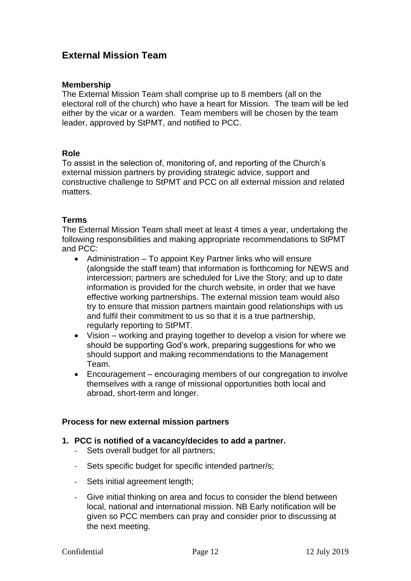# **External Mission Team**

# **Membership**

The External Mission Team shall comprise up to 8 members (all on the electoral roll of the church) who have a heart for Mission. The team will be led either by the vicar or a warden. Team members will be chosen by the team leader, approved by StPMT, and notified to PCC.

# **Role**

To assist in the selection of, monitoring of, and reporting of the Church's external mission partners by providing strategic advice, support and constructive challenge to StPMT and PCC on all external mission and related matters.

# **Terms**

The External Mission Team shall meet at least 4 times a year, undertaking the following responsibilities and making appropriate recommendations to StPMT and PCC:

- Administration To appoint Key Partner links who will ensure (alongside the staff team) that information is forthcoming for NEWS and intercession; partners are scheduled for Live the Story; and up to date information is provided for the church website, in order that we have effective working partnerships. The external mission team would also try to ensure that mission partners maintain good relationships with us and fulfil their commitment to us so that it is a true partnership, regularly reporting to StPMT.
- Vision working and praying together to develop a vision for where we should be supporting God's work, preparing suggestions for who we should support and making recommendations to the Management Team.
- Encouragement encouraging members of our congregation to involve themselves with a range of missional opportunities both local and abroad, short-term and longer.

### **Process for new external mission partners**

### **1. PCC is notified of a vacancy/decides to add a partner.**

- Sets overall budget for all partners;
- Sets specific budget for specific intended partner/s;
- Sets initial agreement length;
- Give initial thinking on area and focus to consider the blend between local, national and international mission. NB Early notification will be given so PCC members can pray and consider prior to discussing at the next meeting.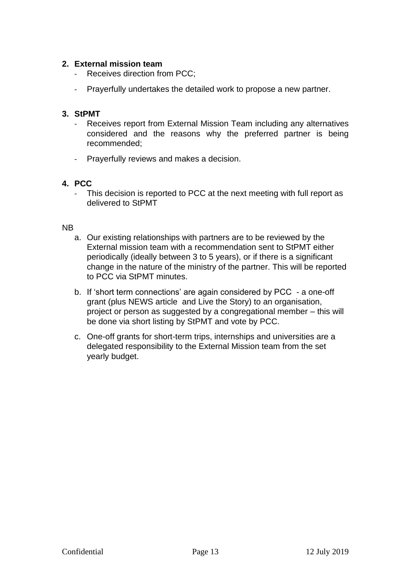# **2. External mission team**

- Receives direction from PCC;
- Prayerfully undertakes the detailed work to propose a new partner.

# **3. StPMT**

- Receives report from External Mission Team including any alternatives considered and the reasons why the preferred partner is being recommended;
- Prayerfully reviews and makes a decision.

# **4. PCC**

- This decision is reported to PCC at the next meeting with full report as delivered to StPMT

# NB

- a. Our existing relationships with partners are to be reviewed by the External mission team with a recommendation sent to StPMT either periodically (ideally between 3 to 5 years), or if there is a significant change in the nature of the ministry of the partner. This will be reported to PCC via StPMT minutes.
- b. If 'short term connections' are again considered by PCC a one-off grant (plus NEWS article and Live the Story) to an organisation, project or person as suggested by a congregational member – this will be done via short listing by StPMT and vote by PCC.
- c. One-off grants for short-term trips, internships and universities are a delegated responsibility to the External Mission team from the set yearly budget.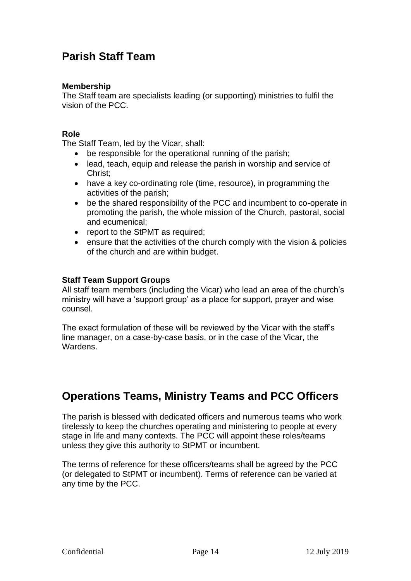# **Parish Staff Team**

# **Membership**

The Staff team are specialists leading (or supporting) ministries to fulfil the vision of the PCC.

# **Role**

The Staff Team, led by the Vicar, shall:

- be responsible for the operational running of the parish;
- lead, teach, equip and release the parish in worship and service of Christ;
- have a key co-ordinating role (time, resource), in programming the activities of the parish;
- be the shared responsibility of the PCC and incumbent to co-operate in promoting the parish, the whole mission of the Church, pastoral, social and ecumenical;
- report to the StPMT as required;
- ensure that the activities of the church comply with the vision & policies of the church and are within budget.

# **Staff Team Support Groups**

All staff team members (including the Vicar) who lead an area of the church's ministry will have a 'support group' as a place for support, prayer and wise counsel.

The exact formulation of these will be reviewed by the Vicar with the staff's line manager, on a case-by-case basis, or in the case of the Vicar, the Wardens.

# **Operations Teams, Ministry Teams and PCC Officers**

The parish is blessed with dedicated officers and numerous teams who work tirelessly to keep the churches operating and ministering to people at every stage in life and many contexts. The PCC will appoint these roles/teams unless they give this authority to StPMT or incumbent.

The terms of reference for these officers/teams shall be agreed by the PCC (or delegated to StPMT or incumbent). Terms of reference can be varied at any time by the PCC.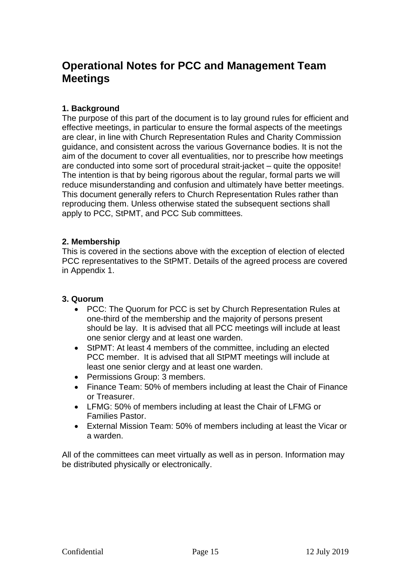# **Operational Notes for PCC and Management Team Meetings**

# **1. Background**

The purpose of this part of the document is to lay ground rules for efficient and effective meetings, in particular to ensure the formal aspects of the meetings are clear, in line with Church Representation Rules and Charity Commission guidance, and consistent across the various Governance bodies. It is not the aim of the document to cover all eventualities, nor to prescribe how meetings are conducted into some sort of procedural strait-jacket – quite the opposite! The intention is that by being rigorous about the regular, formal parts we will reduce misunderstanding and confusion and ultimately have better meetings. This document generally refers to Church Representation Rules rather than reproducing them. Unless otherwise stated the subsequent sections shall apply to PCC, StPMT, and PCC Sub committees.

# **2. Membership**

This is covered in the sections above with the exception of election of elected PCC representatives to the StPMT. Details of the agreed process are covered in Appendix 1.

# **3. Quorum**

- PCC: The Quorum for PCC is set by Church Representation Rules at one-third of the membership and the majority of persons present should be lay. It is advised that all PCC meetings will include at least one senior clergy and at least one warden.
- StPMT: At least 4 members of the committee, including an elected PCC member. It is advised that all StPMT meetings will include at least one senior clergy and at least one warden.
- Permissions Group: 3 members.
- Finance Team: 50% of members including at least the Chair of Finance or Treasurer.
- LFMG: 50% of members including at least the Chair of LFMG or Families Pastor.
- External Mission Team: 50% of members including at least the Vicar or a warden.

All of the committees can meet virtually as well as in person. Information may be distributed physically or electronically.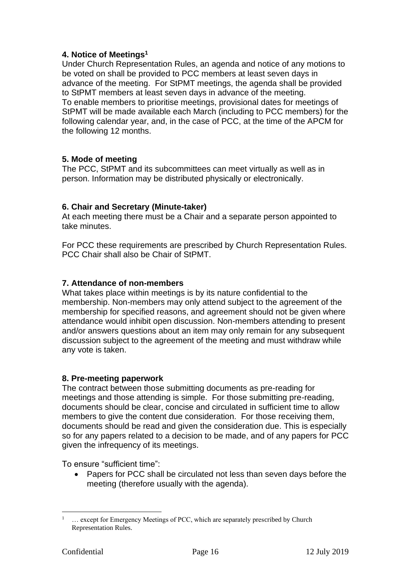# **4. Notice of Meetings<sup>1</sup>**

Under Church Representation Rules, an agenda and notice of any motions to be voted on shall be provided to PCC members at least seven days in advance of the meeting. For StPMT meetings, the agenda shall be provided to StPMT members at least seven days in advance of the meeting. To enable members to prioritise meetings, provisional dates for meetings of StPMT will be made available each March (including to PCC members) for the following calendar year, and, in the case of PCC, at the time of the APCM for the following 12 months.

# **5. Mode of meeting**

The PCC, StPMT and its subcommittees can meet virtually as well as in person. Information may be distributed physically or electronically.

# **6. Chair and Secretary (Minute-taker)**

At each meeting there must be a Chair and a separate person appointed to take minutes.

For PCC these requirements are prescribed by Church Representation Rules. PCC Chair shall also be Chair of StPMT.

# **7. Attendance of non-members**

What takes place within meetings is by its nature confidential to the membership. Non-members may only attend subject to the agreement of the membership for specified reasons, and agreement should not be given where attendance would inhibit open discussion. Non-members attending to present and/or answers questions about an item may only remain for any subsequent discussion subject to the agreement of the meeting and must withdraw while any vote is taken.

# **8. Pre-meeting paperwork**

The contract between those submitting documents as pre-reading for meetings and those attending is simple. For those submitting pre-reading, documents should be clear, concise and circulated in sufficient time to allow members to give the content due consideration. For those receiving them, documents should be read and given the consideration due. This is especially so for any papers related to a decision to be made, and of any papers for PCC given the infrequency of its meetings.

To ensure "sufficient time":

• Papers for PCC shall be circulated not less than seven days before the meeting (therefore usually with the agenda).

<sup>&</sup>lt;sup>1</sup>  $\ldots$  except for Emergency Meetings of PCC, which are separately prescribed by Church Representation Rules.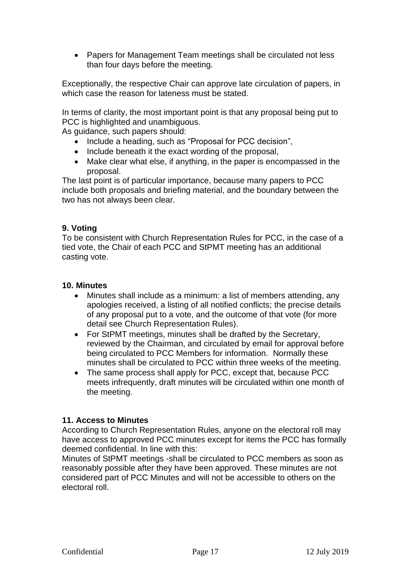• Papers for Management Team meetings shall be circulated not less than four days before the meeting.

Exceptionally, the respective Chair can approve late circulation of papers, in which case the reason for lateness must be stated.

In terms of clarity, the most important point is that any proposal being put to PCC is highlighted and unambiguous.

As guidance, such papers should:

- Include a heading, such as "Proposal for PCC decision",
- Include beneath it the exact wording of the proposal,
- Make clear what else, if anything, in the paper is encompassed in the proposal.

The last point is of particular importance, because many papers to PCC include both proposals and briefing material, and the boundary between the two has not always been clear.

# **9. Voting**

To be consistent with Church Representation Rules for PCC, in the case of a tied vote, the Chair of each PCC and StPMT meeting has an additional casting vote.

# **10. Minutes**

- Minutes shall include as a minimum: a list of members attending, any apologies received, a listing of all notified conflicts; the precise details of any proposal put to a vote, and the outcome of that vote (for more detail see Church Representation Rules).
- For StPMT meetings, minutes shall be drafted by the Secretary, reviewed by the Chairman, and circulated by email for approval before being circulated to PCC Members for information. Normally these minutes shall be circulated to PCC within three weeks of the meeting.
- The same process shall apply for PCC, except that, because PCC meets infrequently, draft minutes will be circulated within one month of the meeting.

# **11. Access to Minutes**

According to Church Representation Rules, anyone on the electoral roll may have access to approved PCC minutes except for items the PCC has formally deemed confidential. In line with this:

Minutes of StPMT meetings -shall be circulated to PCC members as soon as reasonably possible after they have been approved. These minutes are not considered part of PCC Minutes and will not be accessible to others on the electoral roll.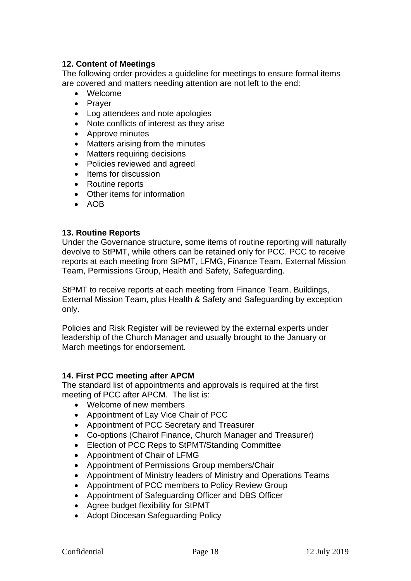# **12. Content of Meetings**

The following order provides a guideline for meetings to ensure formal items are covered and matters needing attention are not left to the end:

- Welcome
- Prayer
- Log attendees and note apologies
- Note conflicts of interest as they arise
- Approve minutes
- Matters arising from the minutes
- Matters requiring decisions
- Policies reviewed and agreed
- Items for discussion
- Routine reports
- Other items for information
- AOB

### **13. Routine Reports**

Under the Governance structure, some items of routine reporting will naturally devolve to StPMT, while others can be retained only for PCC. PCC to receive reports at each meeting from StPMT, LFMG, Finance Team, External Mission Team, Permissions Group, Health and Safety, Safeguarding.

StPMT to receive reports at each meeting from Finance Team, Buildings, External Mission Team, plus Health & Safety and Safeguarding by exception only.

Policies and Risk Register will be reviewed by the external experts under leadership of the Church Manager and usually brought to the January or March meetings for endorsement.

## **14. First PCC meeting after APCM**

The standard list of appointments and approvals is required at the first meeting of PCC after APCM. The list is:

- Welcome of new members
- Appointment of Lay Vice Chair of PCC
- Appointment of PCC Secretary and Treasurer
- Co-options (Chairof Finance, Church Manager and Treasurer)
- Election of PCC Reps to StPMT/Standing Committee
- Appointment of Chair of LFMG
- Appointment of Permissions Group members/Chair
- Appointment of Ministry leaders of Ministry and Operations Teams
- Appointment of PCC members to Policy Review Group
- Appointment of Safeguarding Officer and DBS Officer
- Agree budget flexibility for StPMT
- Adopt Diocesan Safeguarding Policy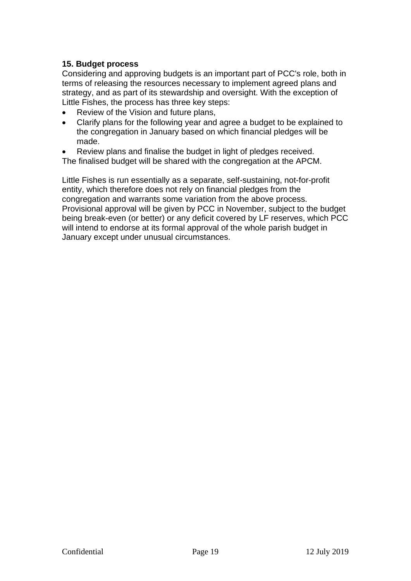# **15. Budget process**

Considering and approving budgets is an important part of PCC's role, both in terms of releasing the resources necessary to implement agreed plans and strategy, and as part of its stewardship and oversight. With the exception of Little Fishes, the process has three key steps:

- Review of the Vision and future plans,
- Clarify plans for the following year and agree a budget to be explained to the congregation in January based on which financial pledges will be made.
- Review plans and finalise the budget in light of pledges received.
- The finalised budget will be shared with the congregation at the APCM.

Little Fishes is run essentially as a separate, self-sustaining, not-for-profit entity, which therefore does not rely on financial pledges from the congregation and warrants some variation from the above process. Provisional approval will be given by PCC in November, subject to the budget being break-even (or better) or any deficit covered by LF reserves, which PCC will intend to endorse at its formal approval of the whole parish budget in January except under unusual circumstances.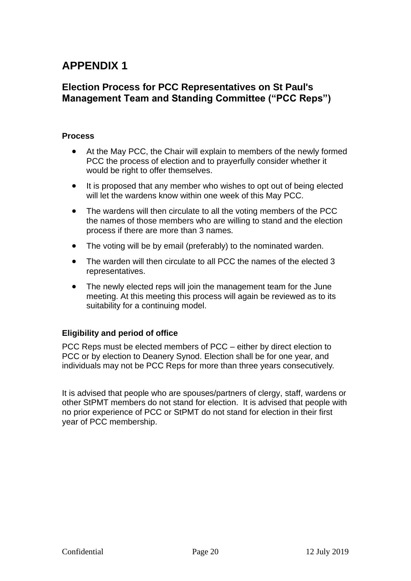# **APPENDIX 1**

# **Election Process for PCC Representatives on St Paul's Management Team and Standing Committee ("PCC Reps")**

# **Process**

- At the May PCC, the Chair will explain to members of the newly formed PCC the process of election and to prayerfully consider whether it would be right to offer themselves.
- It is proposed that any member who wishes to opt out of being elected will let the wardens know within one week of this May PCC.
- The wardens will then circulate to all the voting members of the PCC the names of those members who are willing to stand and the election process if there are more than 3 names.
- The voting will be by email (preferably) to the nominated warden.
- The warden will then circulate to all PCC the names of the elected 3 representatives.
- The newly elected reps will join the management team for the June meeting. At this meeting this process will again be reviewed as to its suitability for a continuing model.

# **Eligibility and period of office**

PCC Reps must be elected members of PCC – either by direct election to PCC or by election to Deanery Synod. Election shall be for one year, and individuals may not be PCC Reps for more than three years consecutively.

It is advised that people who are spouses/partners of clergy, staff, wardens or other StPMT members do not stand for election. It is advised that people with no prior experience of PCC or StPMT do not stand for election in their first year of PCC membership.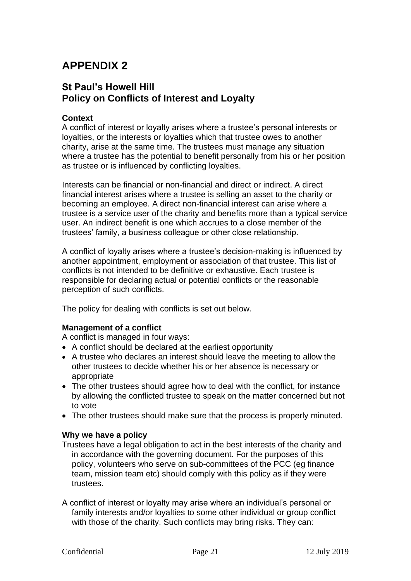# **APPENDIX 2**

# **St Paul's Howell Hill Policy on Conflicts of Interest and Loyalty**

# **Context**

A conflict of interest or loyalty arises where a trustee's personal interests or loyalties, or the interests or loyalties which that trustee owes to another charity, arise at the same time. The trustees must manage any situation where a trustee has the potential to benefit personally from his or her position as trustee or is influenced by conflicting loyalties.

Interests can be financial or non-financial and direct or indirect. A direct financial interest arises where a trustee is selling an asset to the charity or becoming an employee. A direct non-financial interest can arise where a trustee is a service user of the charity and benefits more than a typical service user. An indirect benefit is one which accrues to a close member of the trustees' family, a business colleague or other close relationship.

A conflict of loyalty arises where a trustee's decision-making is influenced by another appointment, employment or association of that trustee. This list of conflicts is not intended to be definitive or exhaustive. Each trustee is responsible for declaring actual or potential conflicts or the reasonable perception of such conflicts.

The policy for dealing with conflicts is set out below.

### **Management of a conflict**

A conflict is managed in four ways:

- A conflict should be declared at the earliest opportunity
- A trustee who declares an interest should leave the meeting to allow the other trustees to decide whether his or her absence is necessary or appropriate
- The other trustees should agree how to deal with the conflict, for instance by allowing the conflicted trustee to speak on the matter concerned but not to vote
- The other trustees should make sure that the process is properly minuted.

### **Why we have a policy**

- Trustees have a legal obligation to act in the best interests of the charity and in accordance with the governing document. For the purposes of this policy, volunteers who serve on sub-committees of the PCC (eg finance team, mission team etc) should comply with this policy as if they were trustees.
- A conflict of interest or loyalty may arise where an individual's personal or family interests and/or loyalties to some other individual or group conflict with those of the charity. Such conflicts may bring risks. They can: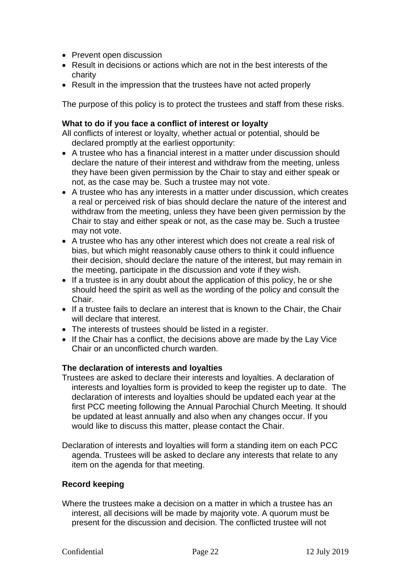- Prevent open discussion
- Result in decisions or actions which are not in the best interests of the charity
- Result in the impression that the trustees have not acted properly

The purpose of this policy is to protect the trustees and staff from these risks.

# **What to do if you face a conflict of interest or loyalty**

All conflicts of interest or loyalty, whether actual or potential, should be declared promptly at the earliest opportunity:

- A trustee who has a financial interest in a matter under discussion should declare the nature of their interest and withdraw from the meeting, unless they have been given permission by the Chair to stay and either speak or not, as the case may be. Such a trustee may not vote.
- A trustee who has any interests in a matter under discussion, which creates a real or perceived risk of bias should declare the nature of the interest and withdraw from the meeting, unless they have been given permission by the Chair to stay and either speak or not, as the case may be. Such a trustee may not vote.
- A trustee who has any other interest which does not create a real risk of bias, but which might reasonably cause others to think it could influence their decision, should declare the nature of the interest, but may remain in the meeting, participate in the discussion and vote if they wish.
- If a trustee is in any doubt about the application of this policy, he or she should heed the spirit as well as the wording of the policy and consult the Chair.
- If a trustee fails to declare an interest that is known to the Chair, the Chair will declare that interest.
- The interests of trustees should be listed in a register.
- If the Chair has a conflict, the decisions above are made by the Lay Vice Chair or an unconflicted church warden.

# **The declaration of interests and loyalties**

- Trustees are asked to declare their interests and loyalties. A declaration of interests and loyalties form is provided to keep the register up to date. The declaration of interests and loyalties should be updated each year at the first PCC meeting following the Annual Parochial Church Meeting. It should be updated at least annually and also when any changes occur. If you would like to discuss this matter, please contact the Chair.
- Declaration of interests and loyalties will form a standing item on each PCC agenda. Trustees will be asked to declare any interests that relate to any item on the agenda for that meeting.

# **Record keeping**

Where the trustees make a decision on a matter in which a trustee has an interest, all decisions will be made by majority vote. A quorum must be present for the discussion and decision. The conflicted trustee will not